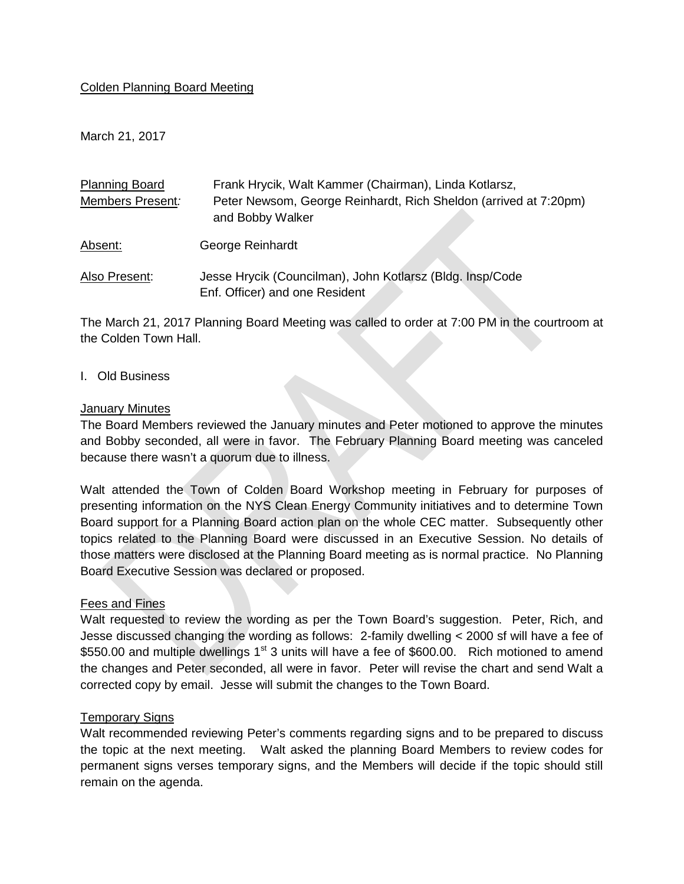## Colden Planning Board Meeting

March 21, 2017

| <b>Planning Board</b> | Frank Hrycik, Walt Kammer (Chairman), Linda Kotlarsz,                                       |
|-----------------------|---------------------------------------------------------------------------------------------|
| Members Present:      | Peter Newsom, George Reinhardt, Rich Sheldon (arrived at 7:20pm)<br>and Bobby Walker        |
| Absent:               | George Reinhardt                                                                            |
| Also Present:         | Jesse Hrycik (Councilman), John Kotlarsz (Bldg. Insp/Code<br>Enf. Officer) and one Resident |

The March 21, 2017 Planning Board Meeting was called to order at 7:00 PM in the courtroom at the Colden Town Hall.

#### I. Old Business

#### January Minutes

The Board Members reviewed the January minutes and Peter motioned to approve the minutes and Bobby seconded, all were in favor. The February Planning Board meeting was canceled because there wasn't a quorum due to illness.

Walt attended the Town of Colden Board Workshop meeting in February for purposes of presenting information on the NYS Clean Energy Community initiatives and to determine Town Board support for a Planning Board action plan on the whole CEC matter. Subsequently other topics related to the Planning Board were discussed in an Executive Session. No details of those matters were disclosed at the Planning Board meeting as is normal practice. No Planning Board Executive Session was declared or proposed.

## Fees and Fines

Walt requested to review the wording as per the Town Board's suggestion. Peter, Rich, and Jesse discussed changing the wording as follows: 2-family dwelling < 2000 sf will have a fee of \$550.00 and multiple dwellings  $1<sup>st</sup>$  3 units will have a fee of \$600.00. Rich motioned to amend the changes and Peter seconded, all were in favor. Peter will revise the chart and send Walt a corrected copy by email. Jesse will submit the changes to the Town Board.

## Temporary Signs

Walt recommended reviewing Peter's comments regarding signs and to be prepared to discuss the topic at the next meeting. Walt asked the planning Board Members to review codes for permanent signs verses temporary signs, and the Members will decide if the topic should still remain on the agenda.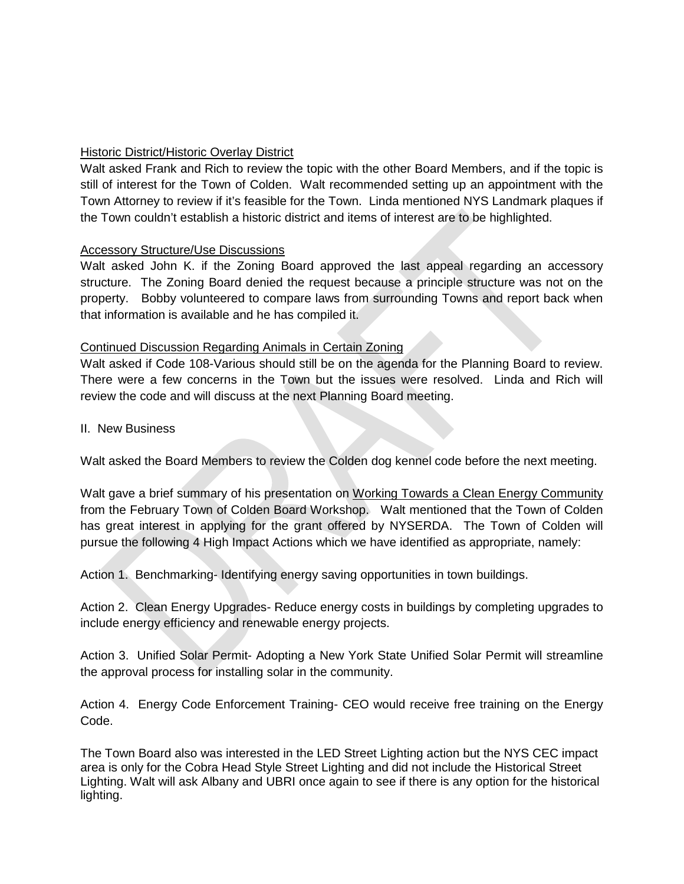# **Historic District/Historic Overlay District**

Walt asked Frank and Rich to review the topic with the other Board Members, and if the topic is still of interest for the Town of Colden. Walt recommended setting up an appointment with the Town Attorney to review if it's feasible for the Town. Linda mentioned NYS Landmark plaques if the Town couldn't establish a historic district and items of interest are to be highlighted.

## Accessory Structure/Use Discussions

Walt asked John K. if the Zoning Board approved the last appeal regarding an accessory structure. The Zoning Board denied the request because a principle structure was not on the property. Bobby volunteered to compare laws from surrounding Towns and report back when that information is available and he has compiled it.

## Continued Discussion Regarding Animals in Certain Zoning

Walt asked if Code 108-Various should still be on the agenda for the Planning Board to review. There were a few concerns in the Town but the issues were resolved. Linda and Rich will review the code and will discuss at the next Planning Board meeting.

II. New Business

Walt asked the Board Members to review the Colden dog kennel code before the next meeting.

Walt gave a brief summary of his presentation on Working Towards a Clean Energy Community from the February Town of Colden Board Workshop. Walt mentioned that the Town of Colden has great interest in applying for the grant offered by NYSERDA. The Town of Colden will pursue the following 4 High Impact Actions which we have identified as appropriate, namely:

Action 1. Benchmarking- Identifying energy saving opportunities in town buildings.

Action 2. Clean Energy Upgrades- Reduce energy costs in buildings by completing upgrades to include energy efficiency and renewable energy projects.

Action 3. Unified Solar Permit- Adopting a New York State Unified Solar Permit will streamline the approval process for installing solar in the community.

Action 4. Energy Code Enforcement Training- CEO would receive free training on the Energy Code.

The Town Board also was interested in the LED Street Lighting action but the NYS CEC impact area is only for the Cobra Head Style Street Lighting and did not include the Historical Street Lighting. Walt will ask Albany and UBRI once again to see if there is any option for the historical lighting.